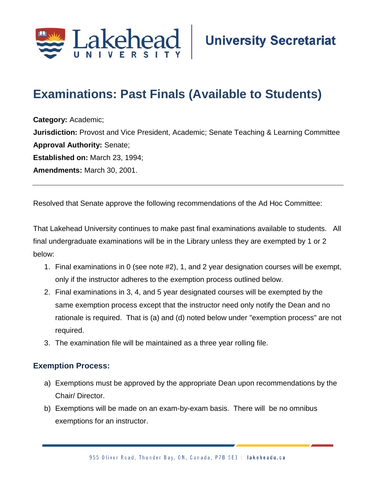

## **Examinations: Past Finals (Available to Students)**

**Category:** Academic; **Jurisdiction:** Provost and Vice President, Academic; Senate Teaching & Learning Committee **Approval Authority:** Senate; **Established on:** March 23, 1994; **Amendments:** March 30, 2001.

Resolved that Senate approve the following recommendations of the Ad Hoc Committee:

That Lakehead University continues to make past final examinations available to students. All final undergraduate examinations will be in the Library unless they are exempted by 1 or 2 below:

- 1. Final examinations in 0 (see note #2), 1, and 2 year designation courses will be exempt, only if the instructor adheres to the exemption process outlined below.
- 2. Final examinations in 3, 4, and 5 year designated courses will be exempted by the same exemption process except that the instructor need only notify the Dean and no rationale is required. That is (a) and (d) noted below under "exemption process" are not required.
- 3. The examination file will be maintained as a three year rolling file.

## **Exemption Process:**

- a) Exemptions must be approved by the appropriate Dean upon recommendations by the Chair/ Director.
- b) Exemptions will be made on an exam-by-exam basis. There will be no omnibus exemptions for an instructor.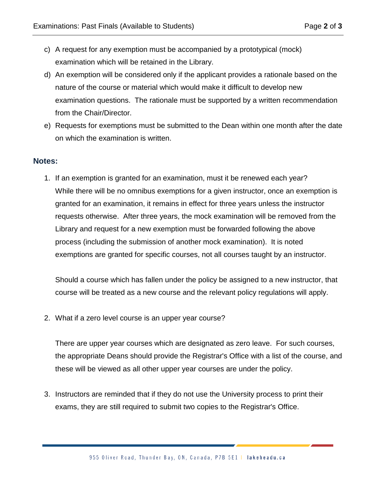- c) A request for any exemption must be accompanied by a prototypical (mock) examination which will be retained in the Library.
- d) An exemption will be considered only if the applicant provides a rationale based on the nature of the course or material which would make it difficult to develop new examination questions. The rationale must be supported by a written recommendation from the Chair/Director.
- e) Requests for exemptions must be submitted to the Dean within one month after the date on which the examination is written.

## **Notes:**

1. If an exemption is granted for an examination, must it be renewed each year? While there will be no omnibus exemptions for a given instructor, once an exemption is granted for an examination, it remains in effect for three years unless the instructor requests otherwise. After three years, the mock examination will be removed from the Library and request for a new exemption must be forwarded following the above process (including the submission of another mock examination). It is noted exemptions are granted for specific courses, not all courses taught by an instructor.

Should a course which has fallen under the policy be assigned to a new instructor, that course will be treated as a new course and the relevant policy regulations will apply.

2. What if a zero level course is an upper year course?

There are upper year courses which are designated as zero leave. For such courses, the appropriate Deans should provide the Registrar's Office with a list of the course, and these will be viewed as all other upper year courses are under the policy.

3. Instructors are reminded that if they do not use the University process to print their exams, they are still required to submit two copies to the Registrar's Office.